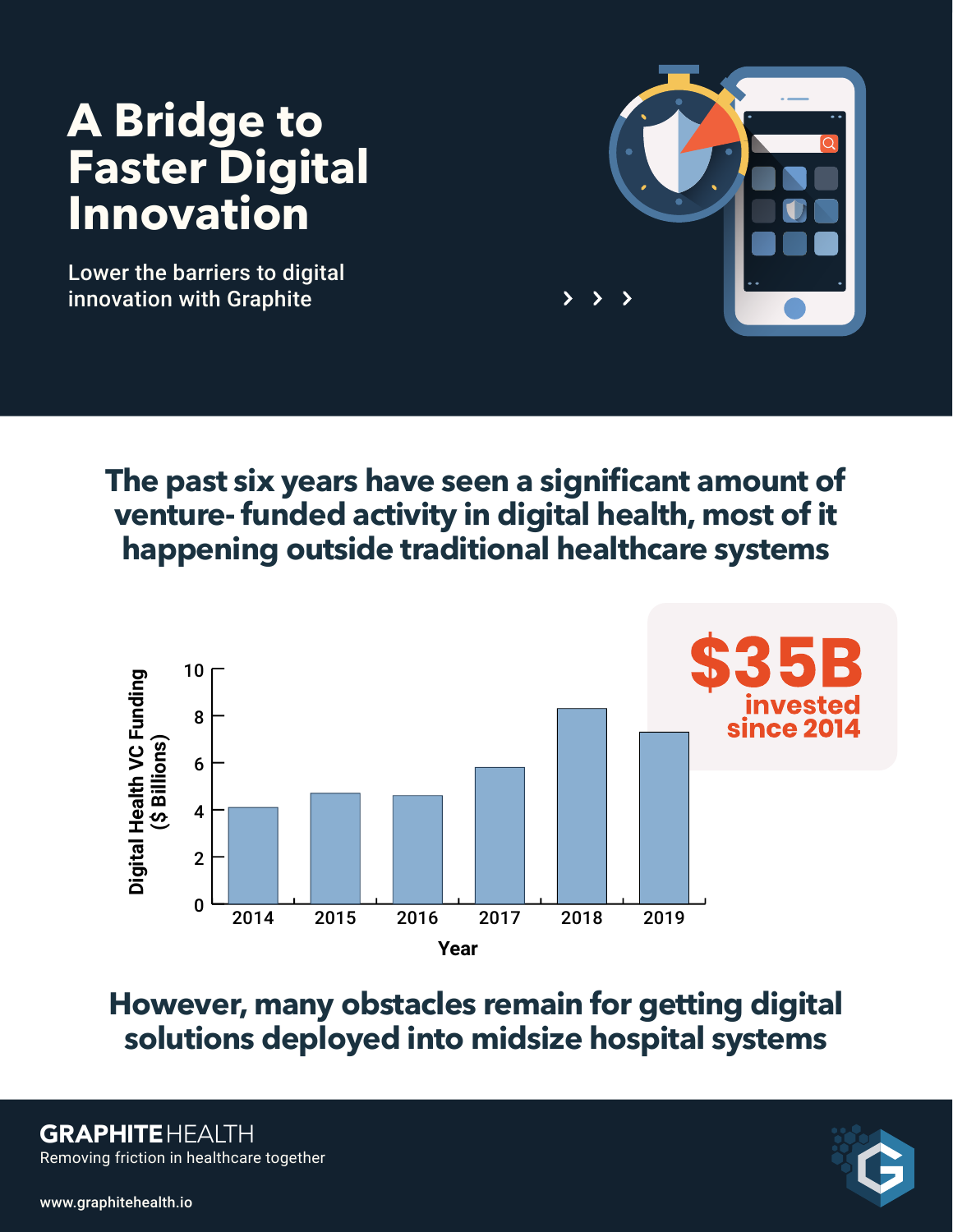## **A** Bridge to **Faster Digital Innovation**

Lower the barriers to digital innovation with Graphite



**The past six years have seen a significant amount of venture- funded activity in digital health, most of it happening outside traditional healthcare systems**



**However, many obstacles remain for getting digital solutions deployed into midsize hospital systems**

Removing friction in healthcare together **GRAPHITEHEALTH** 



www.graphitehealth.io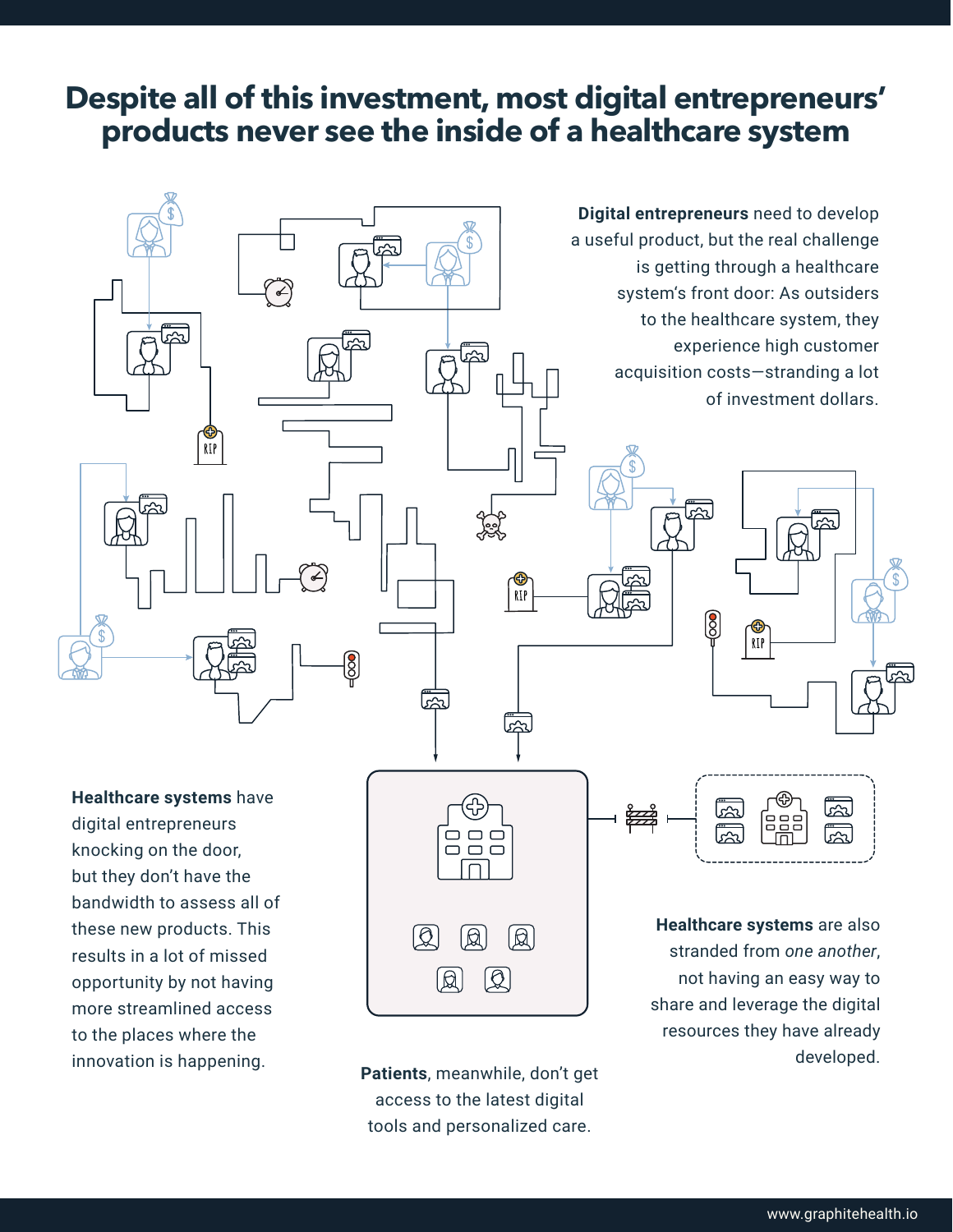## **Despite all of this investment, most digital entrepreneurs' products never see the inside of a healthcare system**



more streamlined access to the places where the innovation is happening. **Patients**, meanwhile, don't get

access to the latest digital tools and personalized care. share and leverage the digital resources they have already developed.